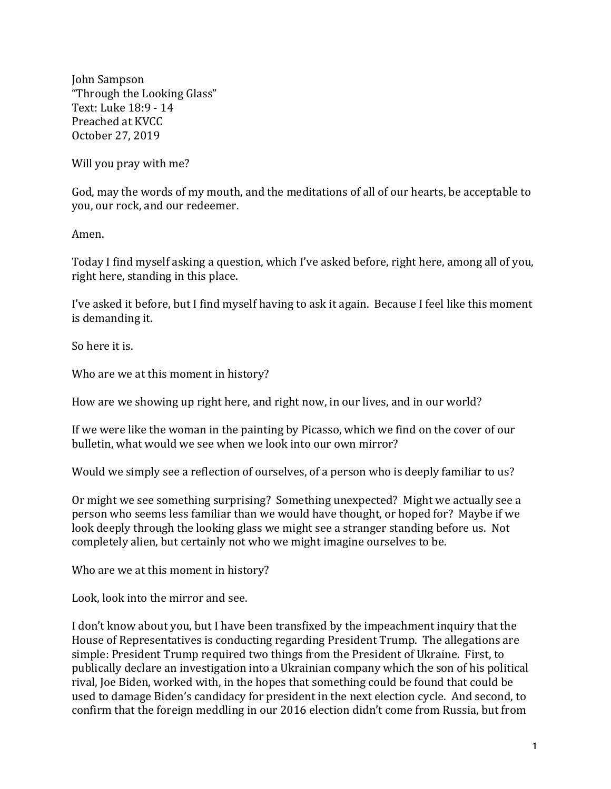John Sampson "Through the Looking Glass" Text: Luke 18:9 - 14 Preached at KVCC October 27, 2019

Will you pray with me?

God, may the words of my mouth, and the meditations of all of our hearts, be acceptable to you, our rock, and our redeemer.

Amen.

Today I find myself asking a question, which I've asked before, right here, among all of you, right here, standing in this place.

I've asked it before, but I find myself having to ask it again. Because I feel like this moment is demanding it.

So here it is.

Who are we at this moment in history?

How are we showing up right here, and right now, in our lives, and in our world?

If we were like the woman in the painting by Picasso, which we find on the cover of our bulletin, what would we see when we look into our own mirror?

Would we simply see a reflection of ourselves, of a person who is deeply familiar to us?

Or might we see something surprising? Something unexpected? Might we actually see a person who seems less familiar than we would have thought, or hoped for? Maybe if we look deeply through the looking glass we might see a stranger standing before us. Not completely alien, but certainly not who we might imagine ourselves to be.

Who are we at this moment in history?

Look, look into the mirror and see.

I don't know about you, but I have been transfixed by the impeachment inquiry that the House of Representatives is conducting regarding President Trump. The allegations are simple: President Trump required two things from the President of Ukraine. First, to publically declare an investigation into a Ukrainian company which the son of his political rival, Joe Biden, worked with, in the hopes that something could be found that could be used to damage Biden's candidacy for president in the next election cycle. And second, to confirm that the foreign meddling in our 2016 election didn't come from Russia, but from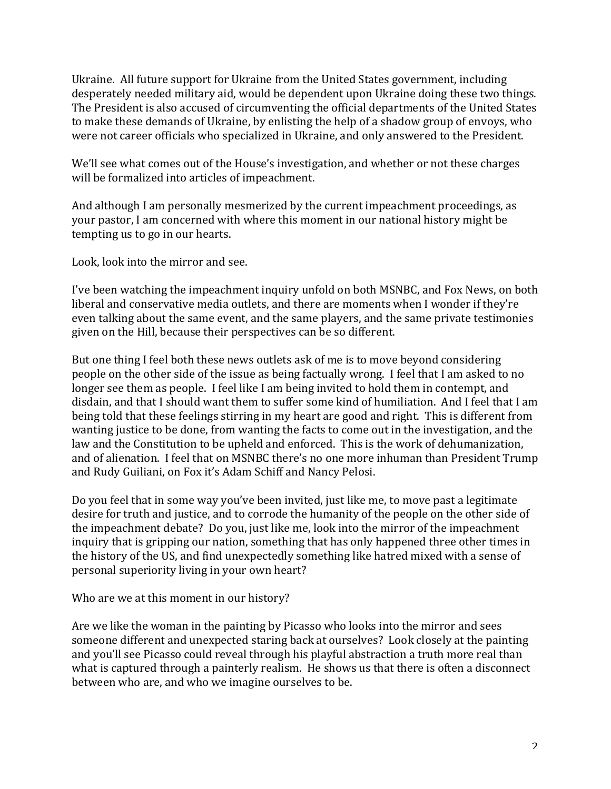Ukraine. All future support for Ukraine from the United States government, including desperately needed military aid, would be dependent upon Ukraine doing these two things. The President is also accused of circumventing the official departments of the United States to make these demands of Ukraine, by enlisting the help of a shadow group of envoys, who were not career officials who specialized in Ukraine, and only answered to the President.

We'll see what comes out of the House's investigation, and whether or not these charges will be formalized into articles of impeachment.

And although I am personally mesmerized by the current impeachment proceedings, as your pastor, I am concerned with where this moment in our national history might be tempting us to go in our hearts.

Look, look into the mirror and see.

I've been watching the impeachment inquiry unfold on both MSNBC, and Fox News, on both liberal and conservative media outlets, and there are moments when I wonder if they're even talking about the same event, and the same players, and the same private testimonies given on the Hill, because their perspectives can be so different.

But one thing I feel both these news outlets ask of me is to move beyond considering people on the other side of the issue as being factually wrong. I feel that I am asked to no longer see them as people. I feel like I am being invited to hold them in contempt, and disdain, and that I should want them to suffer some kind of humiliation. And I feel that I am being told that these feelings stirring in my heart are good and right. This is different from wanting justice to be done, from wanting the facts to come out in the investigation, and the law and the Constitution to be upheld and enforced. This is the work of dehumanization, and of alienation. I feel that on MSNBC there's no one more inhuman than President Trump and Rudy Guiliani, on Fox it's Adam Schiff and Nancy Pelosi.

Do you feel that in some way you've been invited, just like me, to move past a legitimate desire for truth and justice, and to corrode the humanity of the people on the other side of the impeachment debate? Do you, just like me, look into the mirror of the impeachment inquiry that is gripping our nation, something that has only happened three other times in the history of the US, and find unexpectedly something like hatred mixed with a sense of personal superiority living in your own heart?

Who are we at this moment in our history?

Are we like the woman in the painting by Picasso who looks into the mirror and sees someone different and unexpected staring back at ourselves? Look closely at the painting and you'll see Picasso could reveal through his playful abstraction a truth more real than what is captured through a painterly realism. He shows us that there is often a disconnect between who are, and who we imagine ourselves to be.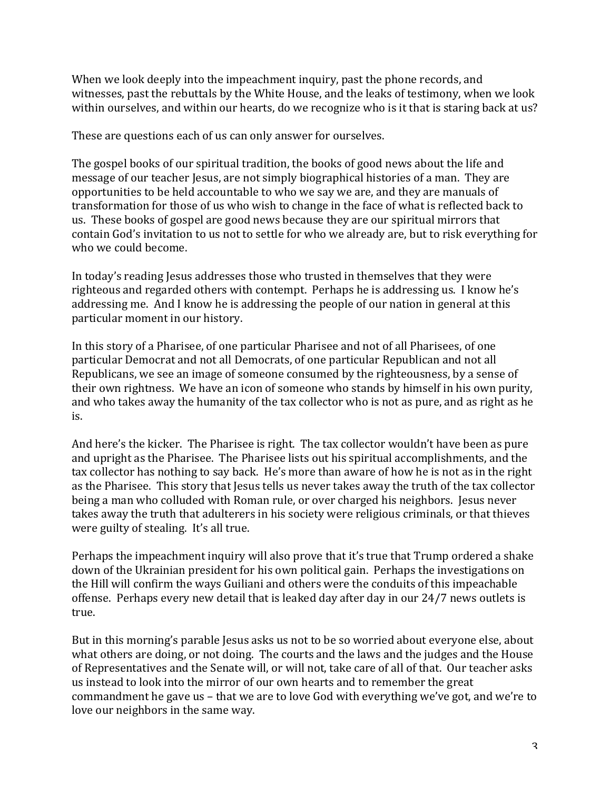When we look deeply into the impeachment inquiry, past the phone records, and witnesses, past the rebuttals by the White House, and the leaks of testimony, when we look within ourselves, and within our hearts, do we recognize who is it that is staring back at us?

These are questions each of us can only answer for ourselves.

The gospel books of our spiritual tradition, the books of good news about the life and message of our teacher Jesus, are not simply biographical histories of a man. They are opportunities to be held accountable to who we say we are, and they are manuals of transformation for those of us who wish to change in the face of what is reflected back to us. These books of gospel are good news because they are our spiritual mirrors that contain God's invitation to us not to settle for who we already are, but to risk everything for who we could become.

In today's reading Jesus addresses those who trusted in themselves that they were righteous and regarded others with contempt. Perhaps he is addressing us. I know he's addressing me. And I know he is addressing the people of our nation in general at this particular moment in our history.

In this story of a Pharisee, of one particular Pharisee and not of all Pharisees, of one particular Democrat and not all Democrats, of one particular Republican and not all Republicans, we see an image of someone consumed by the righteousness, by a sense of their own rightness. We have an icon of someone who stands by himself in his own purity, and who takes away the humanity of the tax collector who is not as pure, and as right as he is.

And here's the kicker. The Pharisee is right. The tax collector wouldn't have been as pure and upright as the Pharisee. The Pharisee lists out his spiritual accomplishments, and the tax collector has nothing to say back. He's more than aware of how he is not as in the right as the Pharisee. This story that Jesus tells us never takes away the truth of the tax collector being a man who colluded with Roman rule, or over charged his neighbors. Jesus never takes away the truth that adulterers in his society were religious criminals, or that thieves were guilty of stealing. It's all true.

Perhaps the impeachment inquiry will also prove that it's true that Trump ordered a shake down of the Ukrainian president for his own political gain. Perhaps the investigations on the Hill will confirm the ways Guiliani and others were the conduits of this impeachable offense. Perhaps every new detail that is leaked day after day in our 24/7 news outlets is true.

But in this morning's parable Jesus asks us not to be so worried about everyone else, about what others are doing, or not doing. The courts and the laws and the judges and the House of Representatives and the Senate will, or will not, take care of all of that. Our teacher asks us instead to look into the mirror of our own hearts and to remember the great commandment he gave us – that we are to love God with everything we've got, and we're to love our neighbors in the same way.